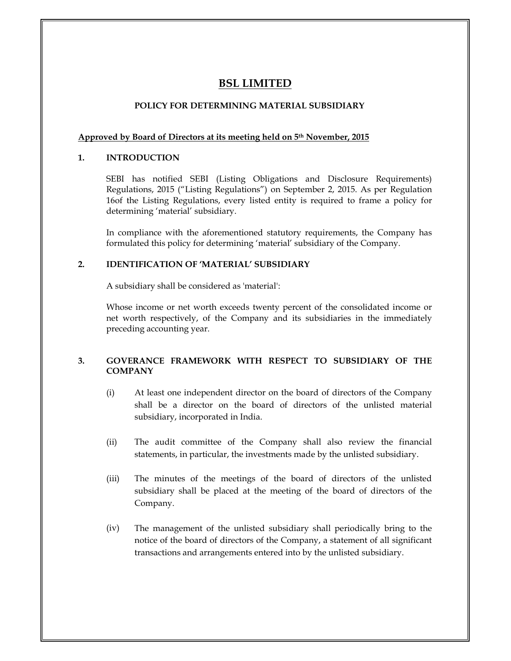# **BSL LIMITED**

## **POLICY FOR DETERMINING MATERIAL SUBSIDIARY**

### **Approved by Board of Directors at its meeting held on 5th November, 2015**

#### **1.INTRODUCTION**

SEBI has notified SEBI (Listing Obligations and Disclosure Requirements) Regulations, 2015 (ìListing Regulationsî) on September 2, 2015. As per Regulation 16of the Listing Regulations, every listed entity is required to frame a policy for determining ëmaterialí subsidiary.

In compliance with the aforementioned statutory requirements, the Company has formulated this policy for determining 'material' subsidiary of the Company.

#### **2.IDENTIFICATION OF ëMATERIALí SUBSIDIARY**

A subsidiary shall be considered as 'material':

Whose income or net worth exceeds twenty percent of the consolidated income or net worth respectively, of the Company and its subsidiaries in the immediately preceding accounting year.

### **3. GOVERANCE FRAMEWORK WITH RESPECT TO SUBSIDIARY OF THE COMPANY**

- (i) At least one independent director on the board of directors of the Company shall be a director on the board of directors of the unlisted material subsidiary, incorporated in India.
- (ii) The audit committee of the Company shall also review the financial statements, in particular, the investments made by the unlisted subsidiary.
- (iii)The minutes of the meetings of the board of directors of the unlisted  $\|\cdot\|$ subsidiary shall be placed at the meeting of the board of directors of the Company.
- (iv) The management of the unlisted subsidiary shall periodically bring to the notice of the board of directors of the Company, a statement of all significant transactions and arrangements entered into by the unlisted subsidiary.